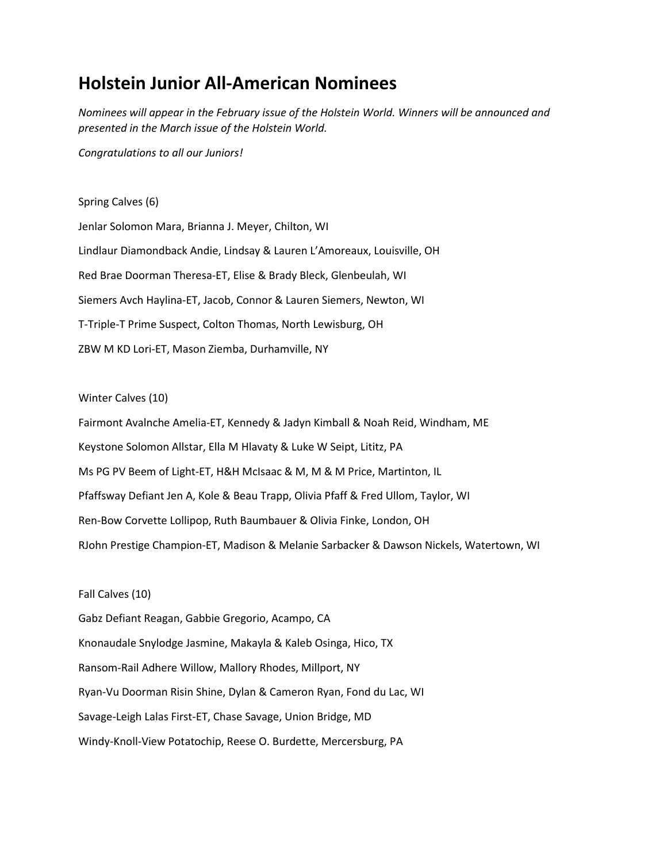# **Holstein Junior All-American Nominees**

*Nominees will appear in the February issue of the Holstein World. Winners will be announced and presented in the March issue of the Holstein World.*

*Congratulations to all our Juniors!*

## Spring Calves (6)

Jenlar Solomon Mara, Brianna J. Meyer, Chilton, WI Lindlaur Diamondback Andie, Lindsay & Lauren L'Amoreaux, Louisville, OH Red Brae Doorman Theresa-ET, Elise & Brady Bleck, Glenbeulah, WI Siemers Avch Haylina-ET, Jacob, Connor & Lauren Siemers, Newton, WI T-Triple-T Prime Suspect, Colton Thomas, North Lewisburg, OH ZBW M KD Lori-ET, Mason Ziemba, Durhamville, NY

### Winter Calves (10)

Fairmont Avalnche Amelia-ET, Kennedy & Jadyn Kimball & Noah Reid, Windham, ME Keystone Solomon Allstar, Ella M Hlavaty & Luke W Seipt, Lititz, PA Ms PG PV Beem of Light-ET, H&H McIsaac & M, M & M Price, Martinton, IL Pfaffsway Defiant Jen A, Kole & Beau Trapp, Olivia Pfaff & Fred Ullom, Taylor, WI Ren-Bow Corvette Lollipop, Ruth Baumbauer & Olivia Finke, London, OH RJohn Prestige Champion-ET, Madison & Melanie Sarbacker & Dawson Nickels, Watertown, WI

#### Fall Calves (10)

Gabz Defiant Reagan, Gabbie Gregorio, Acampo, CA Knonaudale Snylodge Jasmine, Makayla & Kaleb Osinga, Hico, TX Ransom-Rail Adhere Willow, Mallory Rhodes, Millport, NY Ryan-Vu Doorman Risin Shine, Dylan & Cameron Ryan, Fond du Lac, WI Savage-Leigh Lalas First-ET, Chase Savage, Union Bridge, MD Windy-Knoll-View Potatochip, Reese O. Burdette, Mercersburg, PA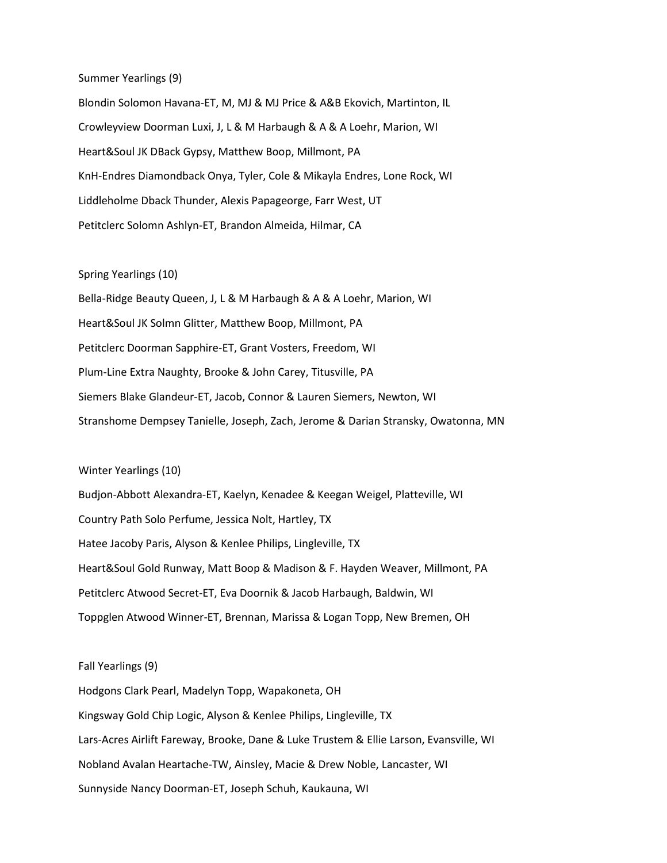### Summer Yearlings (9)

Blondin Solomon Havana-ET, M, MJ & MJ Price & A&B Ekovich, Martinton, IL Crowleyview Doorman Luxi, J, L & M Harbaugh & A & A Loehr, Marion, WI Heart&Soul JK DBack Gypsy, Matthew Boop, Millmont, PA KnH-Endres Diamondback Onya, Tyler, Cole & Mikayla Endres, Lone Rock, WI Liddleholme Dback Thunder, Alexis Papageorge, Farr West, UT Petitclerc Solomn Ashlyn-ET, Brandon Almeida, Hilmar, CA

#### Spring Yearlings (10)

Bella-Ridge Beauty Queen, J, L & M Harbaugh & A & A Loehr, Marion, WI Heart&Soul JK Solmn Glitter, Matthew Boop, Millmont, PA Petitclerc Doorman Sapphire-ET, Grant Vosters, Freedom, WI Plum-Line Extra Naughty, Brooke & John Carey, Titusville, PA Siemers Blake Glandeur-ET, Jacob, Connor & Lauren Siemers, Newton, WI Stranshome Dempsey Tanielle, Joseph, Zach, Jerome & Darian Stransky, Owatonna, MN

#### Winter Yearlings (10)

Budjon-Abbott Alexandra-ET, Kaelyn, Kenadee & Keegan Weigel, Platteville, WI Country Path Solo Perfume, Jessica Nolt, Hartley, TX Hatee Jacoby Paris, Alyson & Kenlee Philips, Lingleville, TX Heart&Soul Gold Runway, Matt Boop & Madison & F. Hayden Weaver, Millmont, PA Petitclerc Atwood Secret-ET, Eva Doornik & Jacob Harbaugh, Baldwin, WI Toppglen Atwood Winner-ET, Brennan, Marissa & Logan Topp, New Bremen, OH

Fall Yearlings (9) Hodgons Clark Pearl, Madelyn Topp, Wapakoneta, OH Kingsway Gold Chip Logic, Alyson & Kenlee Philips, Lingleville, TX Lars-Acres Airlift Fareway, Brooke, Dane & Luke Trustem & Ellie Larson, Evansville, WI Nobland Avalan Heartache-TW, Ainsley, Macie & Drew Noble, Lancaster, WI Sunnyside Nancy Doorman-ET, Joseph Schuh, Kaukauna, WI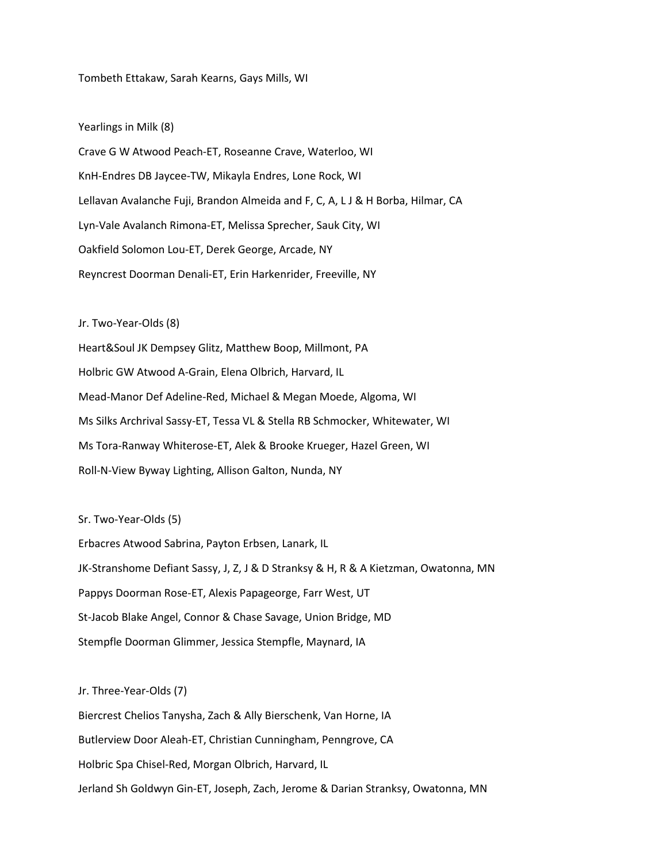Tombeth Ettakaw, Sarah Kearns, Gays Mills, WI

Yearlings in Milk (8)

Crave G W Atwood Peach-ET, Roseanne Crave, Waterloo, WI KnH-Endres DB Jaycee-TW, Mikayla Endres, Lone Rock, WI Lellavan Avalanche Fuji, Brandon Almeida and F, C, A, L J & H Borba, Hilmar, CA Lyn-Vale Avalanch Rimona-ET, Melissa Sprecher, Sauk City, WI Oakfield Solomon Lou-ET, Derek George, Arcade, NY Reyncrest Doorman Denali-ET, Erin Harkenrider, Freeville, NY

Jr. Two-Year-Olds (8)

Heart&Soul JK Dempsey Glitz, Matthew Boop, Millmont, PA Holbric GW Atwood A-Grain, Elena Olbrich, Harvard, IL Mead-Manor Def Adeline-Red, Michael & Megan Moede, Algoma, WI Ms Silks Archrival Sassy-ET, Tessa VL & Stella RB Schmocker, Whitewater, WI Ms Tora-Ranway Whiterose-ET, Alek & Brooke Krueger, Hazel Green, WI Roll-N-View Byway Lighting, Allison Galton, Nunda, NY

Sr. Two-Year-Olds (5)

Erbacres Atwood Sabrina, Payton Erbsen, Lanark, IL JK-Stranshome Defiant Sassy, J, Z, J & D Stranksy & H, R & A Kietzman, Owatonna, MN Pappys Doorman Rose-ET, Alexis Papageorge, Farr West, UT St-Jacob Blake Angel, Connor & Chase Savage, Union Bridge, MD Stempfle Doorman Glimmer, Jessica Stempfle, Maynard, IA

Jr. Three-Year-Olds (7)

Biercrest Chelios Tanysha, Zach & Ally Bierschenk, Van Horne, IA Butlerview Door Aleah-ET, Christian Cunningham, Penngrove, CA Holbric Spa Chisel-Red, Morgan Olbrich, Harvard, IL Jerland Sh Goldwyn Gin-ET, Joseph, Zach, Jerome & Darian Stranksy, Owatonna, MN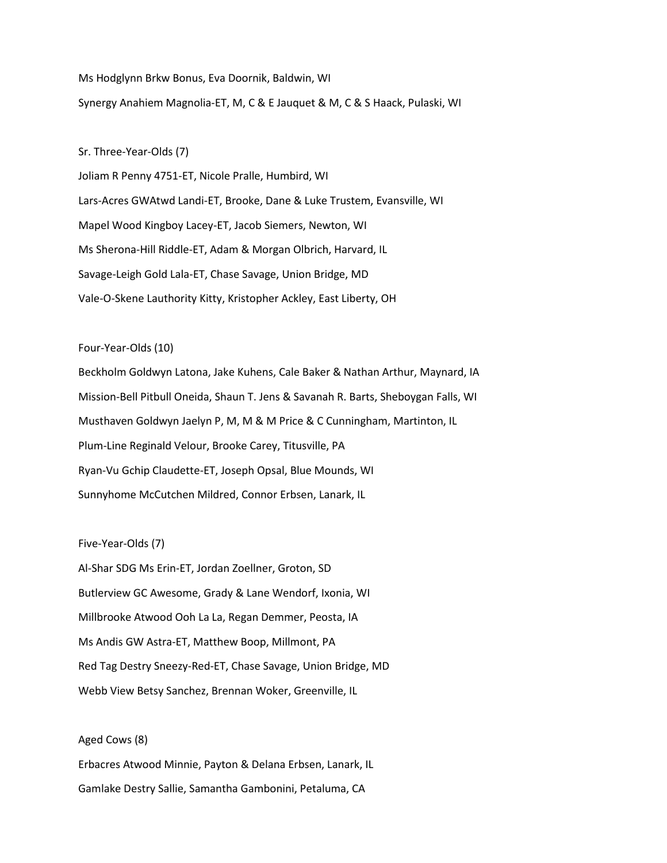Ms Hodglynn Brkw Bonus, Eva Doornik, Baldwin, WI Synergy Anahiem Magnolia-ET, M, C & E Jauquet & M, C & S Haack, Pulaski, WI

Sr. Three-Year-Olds (7)

Joliam R Penny 4751-ET, Nicole Pralle, Humbird, WI Lars-Acres GWAtwd Landi-ET, Brooke, Dane & Luke Trustem, Evansville, WI Mapel Wood Kingboy Lacey-ET, Jacob Siemers, Newton, WI Ms Sherona-Hill Riddle-ET, Adam & Morgan Olbrich, Harvard, IL Savage-Leigh Gold Lala-ET, Chase Savage, Union Bridge, MD Vale-O-Skene Lauthority Kitty, Kristopher Ackley, East Liberty, OH

Four-Year-Olds (10)

Beckholm Goldwyn Latona, Jake Kuhens, Cale Baker & Nathan Arthur, Maynard, IA Mission-Bell Pitbull Oneida, Shaun T. Jens & Savanah R. Barts, Sheboygan Falls, WI Musthaven Goldwyn Jaelyn P, M, M & M Price & C Cunningham, Martinton, IL Plum-Line Reginald Velour, Brooke Carey, Titusville, PA Ryan-Vu Gchip Claudette-ET, Joseph Opsal, Blue Mounds, WI Sunnyhome McCutchen Mildred, Connor Erbsen, Lanark, IL

Five-Year-Olds (7)

Al-Shar SDG Ms Erin-ET, Jordan Zoellner, Groton, SD Butlerview GC Awesome, Grady & Lane Wendorf, Ixonia, WI Millbrooke Atwood Ooh La La, Regan Demmer, Peosta, IA Ms Andis GW Astra-ET, Matthew Boop, Millmont, PA Red Tag Destry Sneezy-Red-ET, Chase Savage, Union Bridge, MD Webb View Betsy Sanchez, Brennan Woker, Greenville, IL

Aged Cows (8) Erbacres Atwood Minnie, Payton & Delana Erbsen, Lanark, IL Gamlake Destry Sallie, Samantha Gambonini, Petaluma, CA